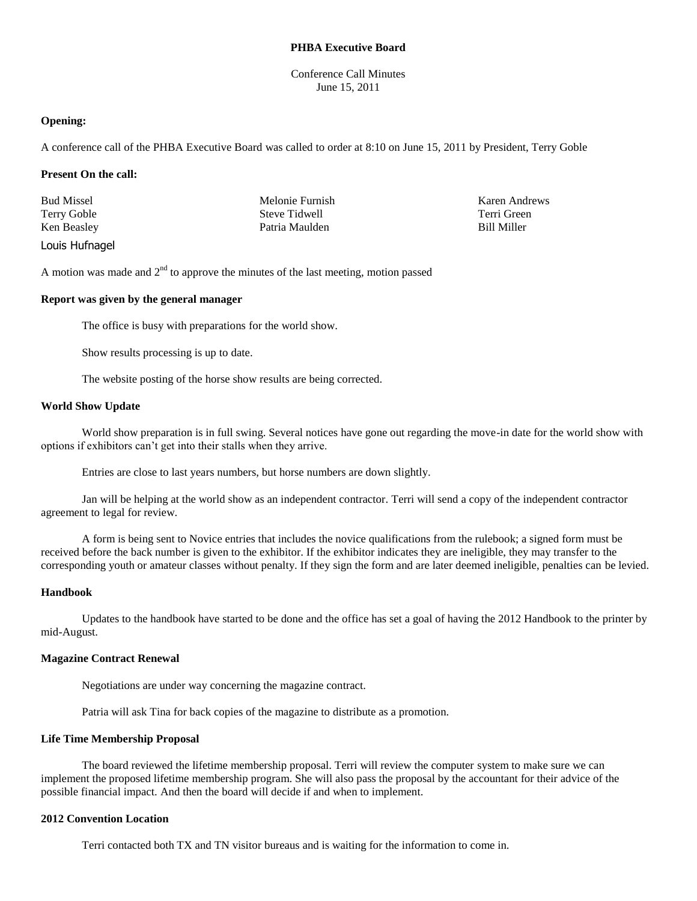## **PHBA Executive Board**

Conference Call Minutes June 15, 2011

### **Opening:**

A conference call of the PHBA Executive Board was called to order at 8:10 on June 15, 2011 by President, Terry Goble

### **Present On the call:**

| <b>Bud Missel</b> | Melonie Furnish | Karen Andrews      |
|-------------------|-----------------|--------------------|
| Terry Goble       | Steve Tidwell   | Terri Green        |
| Ken Beasley       | Patria Maulden  | <b>Bill Miller</b> |
| Louis Hufnagel    |                 |                    |

A motion was made and  $2<sup>nd</sup>$  to approve the minutes of the last meeting, motion passed

## **Report was given by the general manager**

The office is busy with preparations for the world show.

Show results processing is up to date.

The website posting of the horse show results are being corrected.

## **World Show Update**

World show preparation is in full swing. Several notices have gone out regarding the move-in date for the world show with options if exhibitors can't get into their stalls when they arrive.

Entries are close to last years numbers, but horse numbers are down slightly.

Jan will be helping at the world show as an independent contractor. Terri will send a copy of the independent contractor agreement to legal for review.

A form is being sent to Novice entries that includes the novice qualifications from the rulebook; a signed form must be received before the back number is given to the exhibitor. If the exhibitor indicates they are ineligible, they may transfer to the corresponding youth or amateur classes without penalty. If they sign the form and are later deemed ineligible, penalties can be levied.

#### **Handbook**

Updates to the handbook have started to be done and the office has set a goal of having the 2012 Handbook to the printer by mid-August.

# **Magazine Contract Renewal**

Negotiations are under way concerning the magazine contract.

Patria will ask Tina for back copies of the magazine to distribute as a promotion.

# **Life Time Membership Proposal**

The board reviewed the lifetime membership proposal. Terri will review the computer system to make sure we can implement the proposed lifetime membership program. She will also pass the proposal by the accountant for their advice of the possible financial impact. And then the board will decide if and when to implement.

# **2012 Convention Location**

Terri contacted both TX and TN visitor bureaus and is waiting for the information to come in.